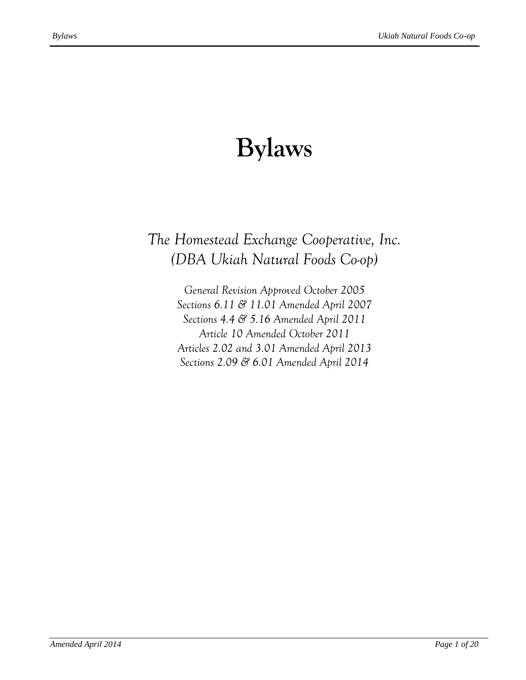# **Bylaws**

# <span id="page-0-0"></span>*The Homestead Exchange Cooperative, Inc. (DBA Ukiah Natural Foods Co-op)*

*General Revision Approved October 2005 Sections 6.11 & 11.01 Amended April 2007 Sections 4.4 & 5.16 Amended April 2011 Article 10 Amended October 2011 Articles 2.02 and 3.01 Amended April 2013 Sections 2.09 & 6.01 Amended April 2014*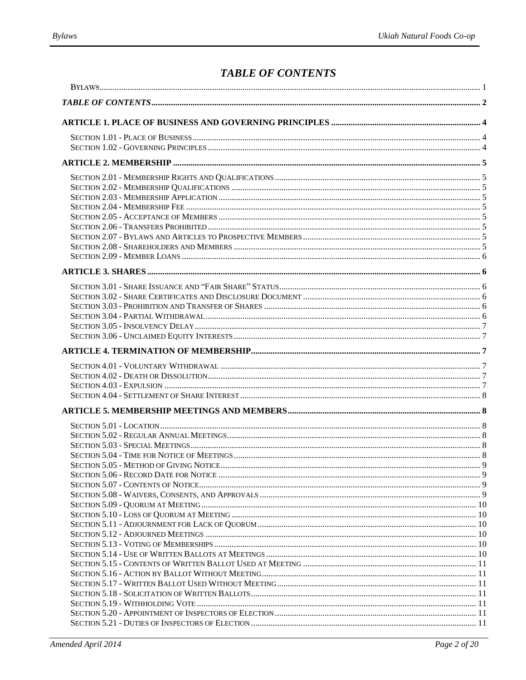# **TABLE OF CONTENTS**

<span id="page-1-0"></span>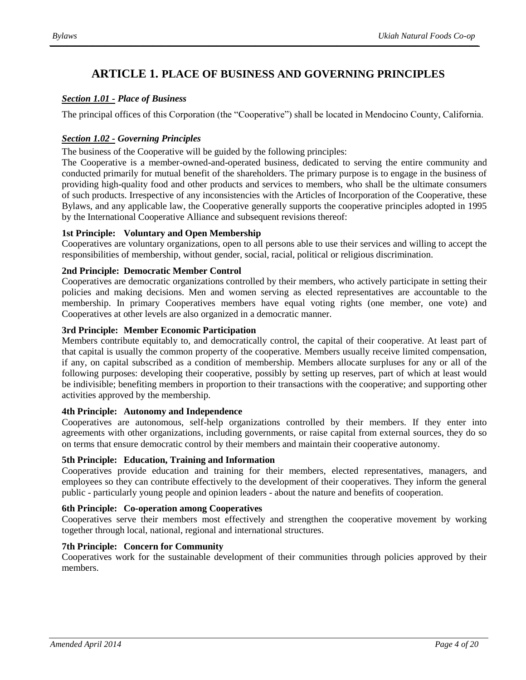# **ARTICLE 1. PLACE OF BUSINESS AND GOVERNING PRINCIPLES**

#### <span id="page-3-1"></span><span id="page-3-0"></span>*Section 1.01 - Place of Business*

The principal offices of this Corporation (the "Cooperative") shall be located in Mendocino County, California.

# <span id="page-3-2"></span>*Section 1.02 - Governing Principles*

The business of the Cooperative will be guided by the following principles:

The Cooperative is a member-owned-and-operated business, dedicated to serving the entire community and conducted primarily for mutual benefit of the shareholders. The primary purpose is to engage in the business of providing high-quality food and other products and services to members, who shall be the ultimate consumers of such products. Irrespective of any inconsistencies with the Articles of Incorporation of the Cooperative, these Bylaws, and any applicable law, the Cooperative generally supports the cooperative principles adopted in 1995 by the International Cooperative Alliance and subsequent revisions thereof:

#### **1st Principle: Voluntary and Open Membership**

Cooperatives are voluntary organizations, open to all persons able to use their services and willing to accept the responsibilities of membership, without gender, social, racial, political or religious discrimination.

#### **2nd Principle: Democratic Member Control**

Cooperatives are democratic organizations controlled by their members, who actively participate in setting their policies and making decisions. Men and women serving as elected representatives are accountable to the membership. In primary Cooperatives members have equal voting rights (one member, one vote) and Cooperatives at other levels are also organized in a democratic manner.

#### **3rd Principle: Member Economic Participation**

Members contribute equitably to, and democratically control, the capital of their cooperative. At least part of that capital is usually the common property of the cooperative. Members usually receive limited compensation, if any, on capital subscribed as a condition of membership. Members allocate surpluses for any or all of the following purposes: developing their cooperative, possibly by setting up reserves, part of which at least would be indivisible; benefiting members in proportion to their transactions with the cooperative; and supporting other activities approved by the membership.

#### **4th Principle: Autonomy and Independence**

Cooperatives are autonomous, self-help organizations controlled by their members. If they enter into agreements with other organizations, including governments, or raise capital from external sources, they do so on terms that ensure democratic control by their members and maintain their cooperative autonomy.

#### **5th Principle: Education, Training and Information**

Cooperatives provide education and training for their members, elected representatives, managers, and employees so they can contribute effectively to the development of their cooperatives. They inform the general public - particularly young people and opinion leaders - about the nature and benefits of cooperation.

#### **6th Principle: Co-operation among Cooperatives**

Cooperatives serve their members most effectively and strengthen the cooperative movement by working together through local, national, regional and international structures.

#### **7th Principle: Concern for Community**

Cooperatives work for the sustainable development of their communities through policies approved by their members.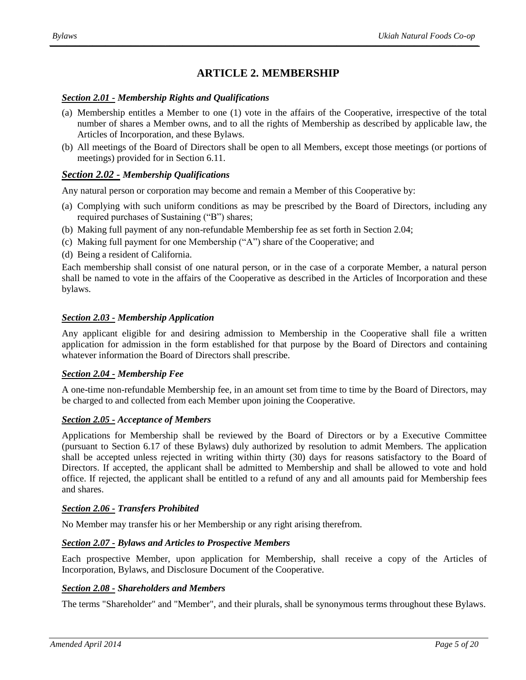# **ARTICLE 2. MEMBERSHIP**

#### <span id="page-4-1"></span><span id="page-4-0"></span>*Section 2.01 - Membership Rights and Qualifications*

- (a) Membership entitles a Member to one (1) vote in the affairs of the Cooperative, irrespective of the total number of shares a Member owns, and to all the rights of Membership as described by applicable law, the Articles of Incorporation, and these Bylaws.
- (b) All meetings of the Board of Directors shall be open to all Members, except those meetings (or portions of meetings) provided for in Section 6.11.

#### <span id="page-4-2"></span>*Section 2.02 - Membership Qualifications*

Any natural person or corporation may become and remain a Member of this Cooperative by:

- (a) Complying with such uniform conditions as may be prescribed by the Board of Directors, including any required purchases of Sustaining ("B") shares;
- (b) Making full payment of any non-refundable Membership fee as set forth in Section 2.04;
- (c) Making full payment for one Membership ("A") share of the Cooperative; and
- (d) Being a resident of California.

Each membership shall consist of one natural person, or in the case of a corporate Member, a natural person shall be named to vote in the affairs of the Cooperative as described in the Articles of Incorporation and these bylaws.

#### <span id="page-4-3"></span>*Section 2.03 - Membership Application*

Any applicant eligible for and desiring admission to Membership in the Cooperative shall file a written application for admission in the form established for that purpose by the Board of Directors and containing whatever information the Board of Directors shall prescribe.

#### <span id="page-4-4"></span>*Section 2.04 - Membership Fee*

A one-time non-refundable Membership fee, in an amount set from time to time by the Board of Directors, may be charged to and collected from each Member upon joining the Cooperative.

#### <span id="page-4-5"></span>*Section 2.05 - Acceptance of Members*

Applications for Membership shall be reviewed by the Board of Directors or by a Executive Committee (pursuant to Section 6.17 of these Bylaws) duly authorized by resolution to admit Members. The application shall be accepted unless rejected in writing within thirty (30) days for reasons satisfactory to the Board of Directors. If accepted, the applicant shall be admitted to Membership and shall be allowed to vote and hold office. If rejected, the applicant shall be entitled to a refund of any and all amounts paid for Membership fees and shares.

#### <span id="page-4-6"></span>*Section 2.06 - Transfers Prohibited*

No Member may transfer his or her Membership or any right arising therefrom.

#### <span id="page-4-7"></span>*Section 2.07 - Bylaws and Articles to Prospective Members*

Each prospective Member, upon application for Membership, shall receive a copy of the Articles of Incorporation, Bylaws, and Disclosure Document of the Cooperative.

#### <span id="page-4-8"></span>*Section 2.08 - Shareholders and Members*

The terms "Shareholder" and "Member", and their plurals, shall be synonymous terms throughout these Bylaws.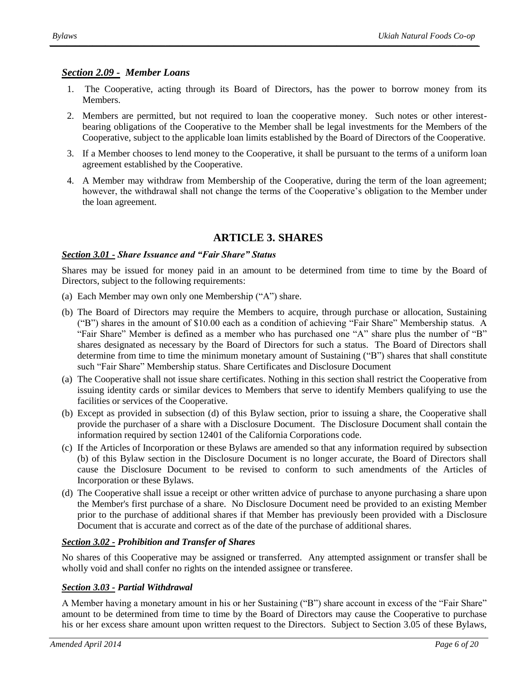# *Section 2.09 - Member Loans*

- <span id="page-5-0"></span>1. The Cooperative, acting through its Board of Directors, has the power to borrow money from its Members.
- 2. Members are permitted, but not required to loan the cooperative money. Such notes or other interestbearing obligations of the Cooperative to the Member shall be legal investments for the Members of the Cooperative, subject to the applicable loan limits established by the Board of Directors of the Cooperative.
- 3. If a Member chooses to lend money to the Cooperative, it shall be pursuant to the terms of a uniform loan agreement established by the Cooperative.
- <span id="page-5-1"></span>4. A Member may withdraw from Membership of the Cooperative, during the term of the loan agreement; however, the withdrawal shall not change the terms of the Cooperative's obligation to the Member under the loan agreement.

# <span id="page-5-3"></span>**ARTICLE 3. SHARES**

# <span id="page-5-2"></span>*Section 3.01 - Share Issuance and "Fair Share" Status*

Shares may be issued for money paid in an amount to be determined from time to time by the Board of Directors, subject to the following requirements:

- (a) Each Member may own only one Membership ("A") share.
- (b) The Board of Directors may require the Members to acquire, through purchase or allocation, Sustaining ("B") shares in the amount of \$10.00 each as a condition of achieving "Fair Share" Membership status. A "Fair Share" Member is defined as a member who has purchased one "A" share plus the number of "B" shares designated as necessary by the Board of Directors for such a status. The Board of Directors shall determine from time to time the minimum monetary amount of Sustaining ("B") shares that shall constitute such "Fair Share" Membership status. Share Certificates and Disclosure Document
- (a) The Cooperative shall not issue share certificates. Nothing in this section shall restrict the Cooperative from issuing identity cards or similar devices to Members that serve to identify Members qualifying to use the facilities or services of the Cooperative.
- (b) Except as provided in subsection (d) of this Bylaw section, prior to issuing a share, the Cooperative shall provide the purchaser of a share with a Disclosure Document. The Disclosure Document shall contain the information required by section 12401 of the California Corporations code.
- (c) If the Articles of Incorporation or these Bylaws are amended so that any information required by subsection (b) of this Bylaw section in the Disclosure Document is no longer accurate, the Board of Directors shall cause the Disclosure Document to be revised to conform to such amendments of the Articles of Incorporation or these Bylaws.
- (d) The Cooperative shall issue a receipt or other written advice of purchase to anyone purchasing a share upon the Member's first purchase of a share. No Disclosure Document need be provided to an existing Member prior to the purchase of additional shares if that Member has previously been provided with a Disclosure Document that is accurate and correct as of the date of the purchase of additional shares.

# <span id="page-5-4"></span>*Section 3.02 - Prohibition and Transfer of Shares*

No shares of this Cooperative may be assigned or transferred. Any attempted assignment or transfer shall be wholly void and shall confer no rights on the intended assignee or transferee.

# <span id="page-5-5"></span>*Section 3.03 - Partial Withdrawal*

A Member having a monetary amount in his or her Sustaining ("B") share account in excess of the "Fair Share" amount to be determined from time to time by the Board of Directors may cause the Cooperative to purchase his or her excess share amount upon written request to the Directors. Subject to Section 3.05 of these Bylaws,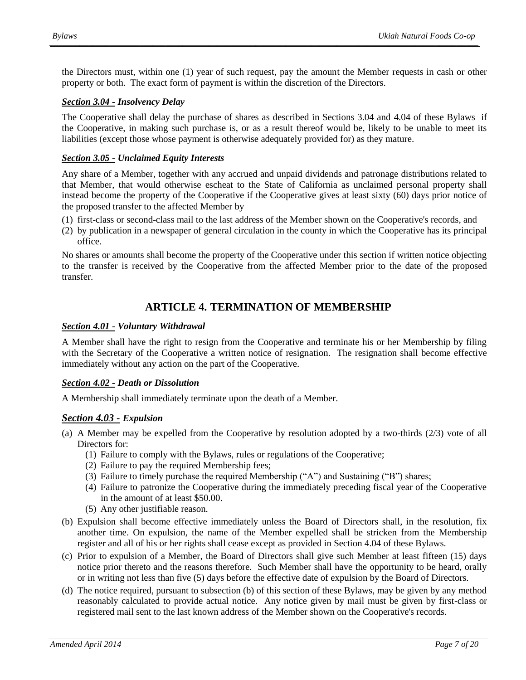the Directors must, within one (1) year of such request, pay the amount the Member requests in cash or other property or both. The exact form of payment is within the discretion of the Directors.

#### <span id="page-6-0"></span>*Section 3.04 - Insolvency Delay*

The Cooperative shall delay the purchase of shares as described in Sections 3.04 and 4.04 of these Bylaws if the Cooperative, in making such purchase is, or as a result thereof would be, likely to be unable to meet its liabilities (except those whose payment is otherwise adequately provided for) as they mature.

#### <span id="page-6-1"></span>*Section 3.05 - Unclaimed Equity Interests*

Any share of a Member, together with any accrued and unpaid dividends and patronage distributions related to that Member, that would otherwise escheat to the State of California as unclaimed personal property shall instead become the property of the Cooperative if the Cooperative gives at least sixty (60) days prior notice of the proposed transfer to the affected Member by

- (1) first-class or second-class mail to the last address of the Member shown on the Cooperative's records, and
- (2) by publication in a newspaper of general circulation in the county in which the Cooperative has its principal office.

<span id="page-6-2"></span>No shares or amounts shall become the property of the Cooperative under this section if written notice objecting to the transfer is received by the Cooperative from the affected Member prior to the date of the proposed transfer.

# **ARTICLE 4. TERMINATION OF MEMBERSHIP**

#### <span id="page-6-3"></span>*Section 4.01 - Voluntary Withdrawal*

A Member shall have the right to resign from the Cooperative and terminate his or her Membership by filing with the Secretary of the Cooperative a written notice of resignation. The resignation shall become effective immediately without any action on the part of the Cooperative.

#### <span id="page-6-4"></span>*Section 4.02 - Death or Dissolution*

A Membership shall immediately terminate upon the death of a Member.

#### <span id="page-6-5"></span>*Section 4.03 - Expulsion*

- (a) A Member may be expelled from the Cooperative by resolution adopted by a two-thirds (2/3) vote of all Directors for:
	- (1) Failure to comply with the Bylaws, rules or regulations of the Cooperative;
	- (2) Failure to pay the required Membership fees;
	- (3) Failure to timely purchase the required Membership ("A") and Sustaining ("B") shares;
	- (4) Failure to patronize the Cooperative during the immediately preceding fiscal year of the Cooperative in the amount of at least \$50.00.
	- (5) Any other justifiable reason.
- (b) Expulsion shall become effective immediately unless the Board of Directors shall, in the resolution, fix another time. On expulsion, the name of the Member expelled shall be stricken from the Membership register and all of his or her rights shall cease except as provided in Section 4.04 of these Bylaws.
- (c) Prior to expulsion of a Member, the Board of Directors shall give such Member at least fifteen (15) days notice prior thereto and the reasons therefore. Such Member shall have the opportunity to be heard, orally or in writing not less than five (5) days before the effective date of expulsion by the Board of Directors.
- (d) The notice required, pursuant to subsection (b) of this section of these Bylaws, may be given by any method reasonably calculated to provide actual notice. Any notice given by mail must be given by first-class or registered mail sent to the last known address of the Member shown on the Cooperative's records.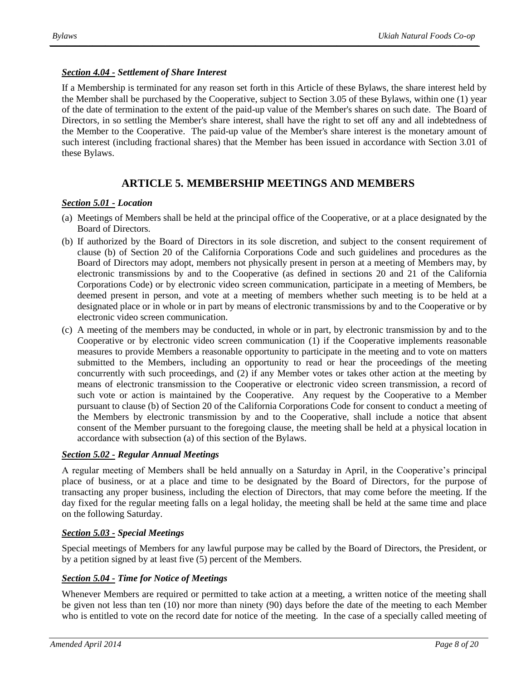#### <span id="page-7-0"></span>*Section 4.04 - Settlement of Share Interest*

If a Membership is terminated for any reason set forth in this Article of these Bylaws, the share interest held by the Member shall be purchased by the Cooperative, subject to Section 3.05 of these Bylaws, within one (1) year of the date of termination to the extent of the paid-up value of the Member's shares on such date. The Board of Directors, in so settling the Member's share interest, shall have the right to set off any and all indebtedness of the Member to the Cooperative. The paid-up value of the Member's share interest is the monetary amount of such interest (including fractional shares) that the Member has been issued in accordance with Section 3.01 of these Bylaws.

# **ARTICLE 5. MEMBERSHIP MEETINGS AND MEMBERS**

# <span id="page-7-2"></span><span id="page-7-1"></span>*Section 5.01 - Location*

- (a) Meetings of Members shall be held at the principal office of the Cooperative, or at a place designated by the Board of Directors.
- (b) If authorized by the Board of Directors in its sole discretion, and subject to the consent requirement of clause (b) of Section 20 of the California Corporations Code and such guidelines and procedures as the Board of Directors may adopt, members not physically present in person at a meeting of Members may, by electronic transmissions by and to the Cooperative (as defined in sections 20 and 21 of the California Corporations Code) or by electronic video screen communication, participate in a meeting of Members, be deemed present in person, and vote at a meeting of members whether such meeting is to be held at a designated place or in whole or in part by means of electronic transmissions by and to the Cooperative or by electronic video screen communication.
- (c) A meeting of the members may be conducted, in whole or in part, by electronic transmission by and to the Cooperative or by electronic video screen communication (1) if the Cooperative implements reasonable measures to provide Members a reasonable opportunity to participate in the meeting and to vote on matters submitted to the Members, including an opportunity to read or hear the proceedings of the meeting concurrently with such proceedings, and (2) if any Member votes or takes other action at the meeting by means of electronic transmission to the Cooperative or electronic video screen transmission, a record of such vote or action is maintained by the Cooperative. Any request by the Cooperative to a Member pursuant to clause (b) of Section 20 of the California Corporations Code for consent to conduct a meeting of the Members by electronic transmission by and to the Cooperative, shall include a notice that absent consent of the Member pursuant to the foregoing clause, the meeting shall be held at a physical location in accordance with subsection (a) of this section of the Bylaws.

#### <span id="page-7-3"></span>*Section 5.02 - Regular Annual Meetings*

A regular meeting of Members shall be held annually on a Saturday in April, in the Cooperative's principal place of business, or at a place and time to be designated by the Board of Directors, for the purpose of transacting any proper business, including the election of Directors, that may come before the meeting. If the day fixed for the regular meeting falls on a legal holiday, the meeting shall be held at the same time and place on the following Saturday.

#### <span id="page-7-4"></span>*Section 5.03 - Special Meetings*

Special meetings of Members for any lawful purpose may be called by the Board of Directors, the President, or by a petition signed by at least five (5) percent of the Members.

#### <span id="page-7-5"></span>*Section 5.04 - Time for Notice of Meetings*

Whenever Members are required or permitted to take action at a meeting, a written notice of the meeting shall be given not less than ten (10) nor more than ninety (90) days before the date of the meeting to each Member who is entitled to vote on the record date for notice of the meeting. In the case of a specially called meeting of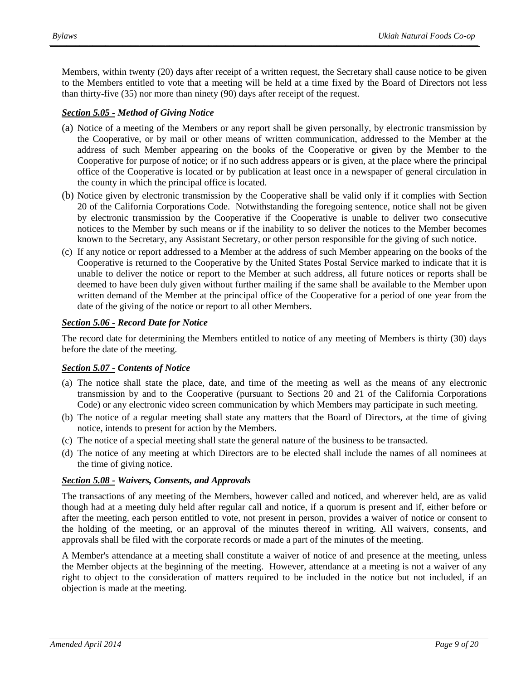Members, within twenty (20) days after receipt of a written request, the Secretary shall cause notice to be given to the Members entitled to vote that a meeting will be held at a time fixed by the Board of Directors not less than thirty-five (35) nor more than ninety (90) days after receipt of the request.

# <span id="page-8-0"></span>*Section 5.05 - Method of Giving Notice*

- (a) Notice of a meeting of the Members or any report shall be given personally, by electronic transmission by the Cooperative, or by mail or other means of written communication, addressed to the Member at the address of such Member appearing on the books of the Cooperative or given by the Member to the Cooperative for purpose of notice; or if no such address appears or is given, at the place where the principal office of the Cooperative is located or by publication at least once in a newspaper of general circulation in the county in which the principal office is located.
- (b) Notice given by electronic transmission by the Cooperative shall be valid only if it complies with Section 20 of the California Corporations Code. Notwithstanding the foregoing sentence, notice shall not be given by electronic transmission by the Cooperative if the Cooperative is unable to deliver two consecutive notices to the Member by such means or if the inability to so deliver the notices to the Member becomes known to the Secretary, any Assistant Secretary, or other person responsible for the giving of such notice.
- (c) If any notice or report addressed to a Member at the address of such Member appearing on the books of the Cooperative is returned to the Cooperative by the United States Postal Service marked to indicate that it is unable to deliver the notice or report to the Member at such address, all future notices or reports shall be deemed to have been duly given without further mailing if the same shall be available to the Member upon written demand of the Member at the principal office of the Cooperative for a period of one year from the date of the giving of the notice or report to all other Members.

#### <span id="page-8-1"></span>*Section 5.06 - Record Date for Notice*

The record date for determining the Members entitled to notice of any meeting of Members is thirty (30) days before the date of the meeting.

#### <span id="page-8-2"></span>*Section 5.07 - Contents of Notice*

- (a) The notice shall state the place, date, and time of the meeting as well as the means of any electronic transmission by and to the Cooperative (pursuant to Sections 20 and 21 of the California Corporations Code) or any electronic video screen communication by which Members may participate in such meeting.
- (b) The notice of a regular meeting shall state any matters that the Board of Directors, at the time of giving notice, intends to present for action by the Members.
- (c) The notice of a special meeting shall state the general nature of the business to be transacted.
- (d) The notice of any meeting at which Directors are to be elected shall include the names of all nominees at the time of giving notice.

#### <span id="page-8-3"></span>*Section 5.08 - Waivers, Consents, and Approvals*

The transactions of any meeting of the Members, however called and noticed, and wherever held, are as valid though had at a meeting duly held after regular call and notice, if a quorum is present and if, either before or after the meeting, each person entitled to vote, not present in person, provides a waiver of notice or consent to the holding of the meeting, or an approval of the minutes thereof in writing. All waivers, consents, and approvals shall be filed with the corporate records or made a part of the minutes of the meeting.

A Member's attendance at a meeting shall constitute a waiver of notice of and presence at the meeting, unless the Member objects at the beginning of the meeting. However, attendance at a meeting is not a waiver of any right to object to the consideration of matters required to be included in the notice but not included, if an objection is made at the meeting.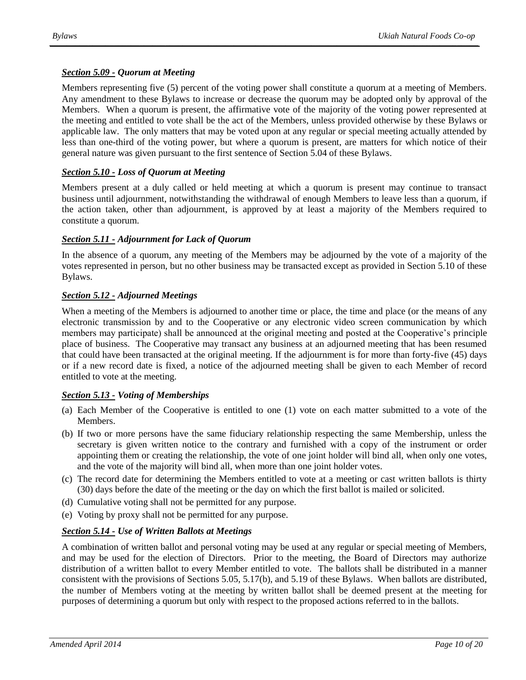#### <span id="page-9-0"></span>*Section 5.09 - Quorum at Meeting*

Members representing five (5) percent of the voting power shall constitute a quorum at a meeting of Members. Any amendment to these Bylaws to increase or decrease the quorum may be adopted only by approval of the Members. When a quorum is present, the affirmative vote of the majority of the voting power represented at the meeting and entitled to vote shall be the act of the Members, unless provided otherwise by these Bylaws or applicable law. The only matters that may be voted upon at any regular or special meeting actually attended by less than one-third of the voting power, but where a quorum is present, are matters for which notice of their general nature was given pursuant to the first sentence of Section 5.04 of these Bylaws.

#### <span id="page-9-1"></span>*Section 5.10 - Loss of Quorum at Meeting*

Members present at a duly called or held meeting at which a quorum is present may continue to transact business until adjournment, notwithstanding the withdrawal of enough Members to leave less than a quorum, if the action taken, other than adjournment, is approved by at least a majority of the Members required to constitute a quorum.

#### <span id="page-9-2"></span>*Section 5.11 - Adjournment for Lack of Quorum*

In the absence of a quorum, any meeting of the Members may be adjourned by the vote of a majority of the votes represented in person, but no other business may be transacted except as provided in Section 5.10 of these Bylaws.

#### <span id="page-9-3"></span>*Section 5.12 - Adjourned Meetings*

When a meeting of the Members is adjourned to another time or place, the time and place (or the means of any electronic transmission by and to the Cooperative or any electronic video screen communication by which members may participate) shall be announced at the original meeting and posted at the Cooperative's principle place of business. The Cooperative may transact any business at an adjourned meeting that has been resumed that could have been transacted at the original meeting. If the adjournment is for more than forty-five (45) days or if a new record date is fixed, a notice of the adjourned meeting shall be given to each Member of record entitled to vote at the meeting.

#### <span id="page-9-4"></span>*Section 5.13 - Voting of Memberships*

- (a) Each Member of the Cooperative is entitled to one (1) vote on each matter submitted to a vote of the Members.
- (b) If two or more persons have the same fiduciary relationship respecting the same Membership, unless the secretary is given written notice to the contrary and furnished with a copy of the instrument or order appointing them or creating the relationship, the vote of one joint holder will bind all, when only one votes, and the vote of the majority will bind all, when more than one joint holder votes.
- (c) The record date for determining the Members entitled to vote at a meeting or cast written ballots is thirty (30) days before the date of the meeting or the day on which the first ballot is mailed or solicited.
- (d) Cumulative voting shall not be permitted for any purpose.
- (e) Voting by proxy shall not be permitted for any purpose.

#### <span id="page-9-5"></span>*Section 5.14 - Use of Written Ballots at Meetings*

A combination of written ballot and personal voting may be used at any regular or special meeting of Members, and may be used for the election of Directors. Prior to the meeting, the Board of Directors may authorize distribution of a written ballot to every Member entitled to vote. The ballots shall be distributed in a manner consistent with the provisions of Sections 5.05, 5.17(b), and 5.19 of these Bylaws. When ballots are distributed, the number of Members voting at the meeting by written ballot shall be deemed present at the meeting for purposes of determining a quorum but only with respect to the proposed actions referred to in the ballots.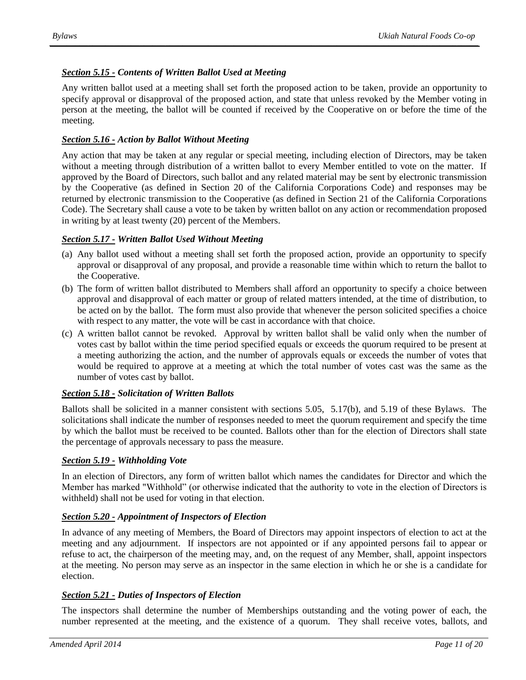# <span id="page-10-0"></span>*Section 5.15 - Contents of Written Ballot Used at Meeting*

Any written ballot used at a meeting shall set forth the proposed action to be taken, provide an opportunity to specify approval or disapproval of the proposed action, and state that unless revoked by the Member voting in person at the meeting, the ballot will be counted if received by the Cooperative on or before the time of the meeting.

#### <span id="page-10-1"></span>*Section 5.16 - Action by Ballot Without Meeting*

Any action that may be taken at any regular or special meeting, including election of Directors, may be taken without a meeting through distribution of a written ballot to every Member entitled to vote on the matter. If approved by the Board of Directors, such ballot and any related material may be sent by electronic transmission by the Cooperative (as defined in Section 20 of the California Corporations Code) and responses may be returned by electronic transmission to the Cooperative (as defined in Section 21 of the California Corporations Code). The Secretary shall cause a vote to be taken by written ballot on any action or recommendation proposed in writing by at least twenty (20) percent of the Members.

#### <span id="page-10-2"></span>*Section 5.17 - Written Ballot Used Without Meeting*

- (a) Any ballot used without a meeting shall set forth the proposed action, provide an opportunity to specify approval or disapproval of any proposal, and provide a reasonable time within which to return the ballot to the Cooperative.
- (b) The form of written ballot distributed to Members shall afford an opportunity to specify a choice between approval and disapproval of each matter or group of related matters intended, at the time of distribution, to be acted on by the ballot. The form must also provide that whenever the person solicited specifies a choice with respect to any matter, the vote will be cast in accordance with that choice.
- (c) A written ballot cannot be revoked. Approval by written ballot shall be valid only when the number of votes cast by ballot within the time period specified equals or exceeds the quorum required to be present at a meeting authorizing the action, and the number of approvals equals or exceeds the number of votes that would be required to approve at a meeting at which the total number of votes cast was the same as the number of votes cast by ballot.

#### <span id="page-10-3"></span>*Section 5.18 - Solicitation of Written Ballots*

Ballots shall be solicited in a manner consistent with sections 5.05, 5.17(b), and 5.19 of these Bylaws. The solicitations shall indicate the number of responses needed to meet the quorum requirement and specify the time by which the ballot must be received to be counted. Ballots other than for the election of Directors shall state the percentage of approvals necessary to pass the measure.

#### <span id="page-10-4"></span>*Section 5.19 - Withholding Vote*

In an election of Directors, any form of written ballot which names the candidates for Director and which the Member has marked "Withhold" (or otherwise indicated that the authority to vote in the election of Directors is withheld) shall not be used for voting in that election.

#### <span id="page-10-5"></span>*Section 5.20 - Appointment of Inspectors of Election*

In advance of any meeting of Members, the Board of Directors may appoint inspectors of election to act at the meeting and any adjournment. If inspectors are not appointed or if any appointed persons fail to appear or refuse to act, the chairperson of the meeting may, and, on the request of any Member, shall, appoint inspectors at the meeting. No person may serve as an inspector in the same election in which he or she is a candidate for election.

#### <span id="page-10-6"></span>*Section 5.21 - Duties of Inspectors of Election*

The inspectors shall determine the number of Memberships outstanding and the voting power of each, the number represented at the meeting, and the existence of a quorum. They shall receive votes, ballots, and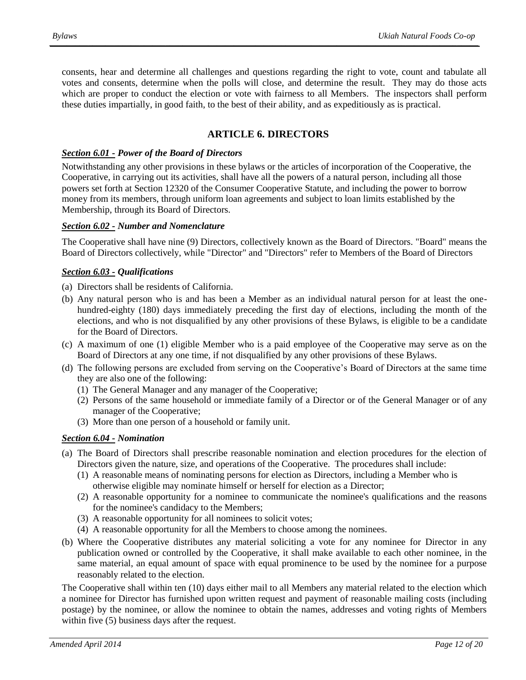consents, hear and determine all challenges and questions regarding the right to vote, count and tabulate all votes and consents, determine when the polls will close, and determine the result. They may do those acts which are proper to conduct the election or vote with fairness to all Members. The inspectors shall perform these duties impartially, in good faith, to the best of their ability, and as expeditiously as is practical.

# **ARTICLE 6. DIRECTORS**

#### <span id="page-11-1"></span><span id="page-11-0"></span>*Section 6.01 - Power of the Board of Directors*

Notwithstanding any other provisions in these bylaws or the articles of incorporation of the Cooperative, the Cooperative, in carrying out its activities, shall have all the powers of a natural person, including all those powers set forth at Section 12320 of the Consumer Cooperative Statute, and including the power to borrow money from its members, through uniform loan agreements and subject to loan limits established by the Membership, through its Board of Directors.

#### <span id="page-11-2"></span>*Section 6.02 - Number and Nomenclature*

The Cooperative shall have nine (9) Directors, collectively known as the Board of Directors. "Board" means the Board of Directors collectively, while "Director" and "Directors" refer to Members of the Board of Directors

#### <span id="page-11-3"></span>*Section 6.03 - Qualifications*

- (a) Directors shall be residents of California.
- (b) Any natural person who is and has been a Member as an individual natural person for at least the onehundred-eighty (180) days immediately preceding the first day of elections, including the month of the elections, and who is not disqualified by any other provisions of these Bylaws, is eligible to be a candidate for the Board of Directors.
- (c) A maximum of one (1) eligible Member who is a paid employee of the Cooperative may serve as on the Board of Directors at any one time, if not disqualified by any other provisions of these Bylaws.
- (d) The following persons are excluded from serving on the Cooperative's Board of Directors at the same time they are also one of the following:
	- (1) The General Manager and any manager of the Cooperative;
	- (2) Persons of the same household or immediate family of a Director or of the General Manager or of any manager of the Cooperative;
	- (3) More than one person of a household or family unit.

#### <span id="page-11-4"></span>*Section 6.04 - Nomination*

- (a) The Board of Directors shall prescribe reasonable nomination and election procedures for the election of Directors given the nature, size, and operations of the Cooperative. The procedures shall include:
	- (1) A reasonable means of nominating persons for election as Directors, including a Member who is otherwise eligible may nominate himself or herself for election as a Director;
	- (2) A reasonable opportunity for a nominee to communicate the nominee's qualifications and the reasons for the nominee's candidacy to the Members;
	- (3) A reasonable opportunity for all nominees to solicit votes;
	- (4) A reasonable opportunity for all the Members to choose among the nominees.
- (b) Where the Cooperative distributes any material soliciting a vote for any nominee for Director in any publication owned or controlled by the Cooperative, it shall make available to each other nominee, in the same material, an equal amount of space with equal prominence to be used by the nominee for a purpose reasonably related to the election.

The Cooperative shall within ten (10) days either mail to all Members any material related to the election which a nominee for Director has furnished upon written request and payment of reasonable mailing costs (including postage) by the nominee, or allow the nominee to obtain the names, addresses and voting rights of Members within five (5) business days after the request.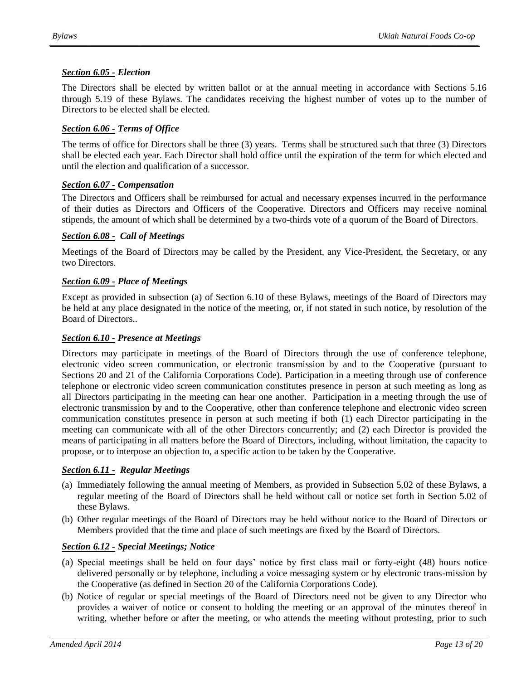#### <span id="page-12-0"></span>*Section 6.05 - Election*

The Directors shall be elected by written ballot or at the annual meeting in accordance with Sections 5.16 through 5.19 of these Bylaws. The candidates receiving the highest number of votes up to the number of Directors to be elected shall be elected.

# <span id="page-12-1"></span>*Section 6.06 - Terms of Office*

The terms of office for Directors shall be three (3) years. Terms shall be structured such that three (3) Directors shall be elected each year. Each Director shall hold office until the expiration of the term for which elected and until the election and qualification of a successor.

#### <span id="page-12-2"></span>*Section 6.07 - Compensation*

The Directors and Officers shall be reimbursed for actual and necessary expenses incurred in the performance of their duties as Directors and Officers of the Cooperative. Directors and Officers may receive nominal stipends, the amount of which shall be determined by a two-thirds vote of a quorum of the Board of Directors.

#### <span id="page-12-3"></span>*Section 6.08 - Call of Meetings*

Meetings of the Board of Directors may be called by the President, any Vice-President, the Secretary, or any two Directors.

#### <span id="page-12-4"></span>*Section 6.09 - Place of Meetings*

Except as provided in subsection (a) of Section 6.10 of these Bylaws, meetings of the Board of Directors may be held at any place designated in the notice of the meeting, or, if not stated in such notice, by resolution of the Board of Directors..

#### <span id="page-12-5"></span>*Section 6.10 - Presence at Meetings*

Directors may participate in meetings of the Board of Directors through the use of conference telephone, electronic video screen communication, or electronic transmission by and to the Cooperative (pursuant to Sections 20 and 21 of the California Corporations Code). Participation in a meeting through use of conference telephone or electronic video screen communication constitutes presence in person at such meeting as long as all Directors participating in the meeting can hear one another. Participation in a meeting through the use of electronic transmission by and to the Cooperative, other than conference telephone and electronic video screen communication constitutes presence in person at such meeting if both (1) each Director participating in the meeting can communicate with all of the other Directors concurrently; and (2) each Director is provided the means of participating in all matters before the Board of Directors, including, without limitation, the capacity to propose, or to interpose an objection to, a specific action to be taken by the Cooperative.

#### <span id="page-12-6"></span>*Section 6.11 - Regular Meetings*

- (a) Immediately following the annual meeting of Members, as provided in Subsection 5.02 of these Bylaws, a regular meeting of the Board of Directors shall be held without call or notice set forth in Section 5.02 of these Bylaws.
- (b) Other regular meetings of the Board of Directors may be held without notice to the Board of Directors or Members provided that the time and place of such meetings are fixed by the Board of Directors.

#### <span id="page-12-7"></span>*Section 6.12 - Special Meetings; Notice*

- (a) Special meetings shall be held on four days' notice by first class mail or forty-eight (48) hours notice delivered personally or by telephone, including a voice messaging system or by electronic trans-mission by the Cooperative (as defined in Section 20 of the California Corporations Code).
- (b) Notice of regular or special meetings of the Board of Directors need not be given to any Director who provides a waiver of notice or consent to holding the meeting or an approval of the minutes thereof in writing, whether before or after the meeting, or who attends the meeting without protesting, prior to such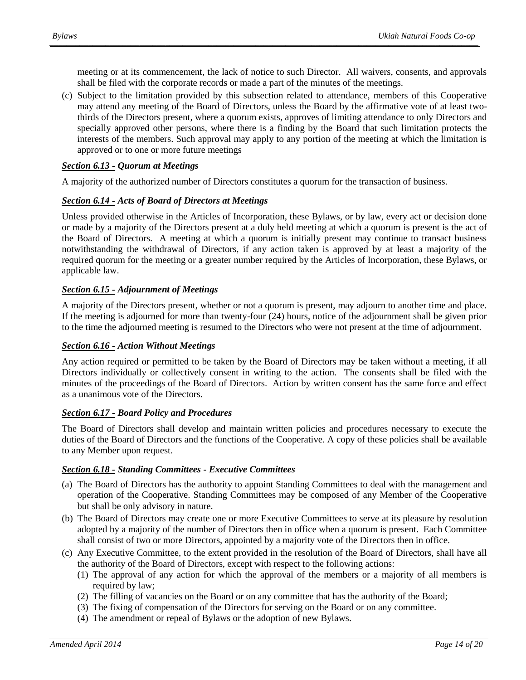meeting or at its commencement, the lack of notice to such Director. All waivers, consents, and approvals shall be filed with the corporate records or made a part of the minutes of the meetings.

(c) Subject to the limitation provided by this subsection related to attendance, members of this Cooperative may attend any meeting of the Board of Directors, unless the Board by the affirmative vote of at least twothirds of the Directors present, where a quorum exists, approves of limiting attendance to only Directors and specially approved other persons, where there is a finding by the Board that such limitation protects the interests of the members. Such approval may apply to any portion of the meeting at which the limitation is approved or to one or more future meetings

#### <span id="page-13-0"></span>*Section 6.13 - Quorum at Meetings*

A majority of the authorized number of Directors constitutes a quorum for the transaction of business.

#### <span id="page-13-1"></span>*Section 6.14 - Acts of Board of Directors at Meetings*

Unless provided otherwise in the Articles of Incorporation, these Bylaws, or by law, every act or decision done or made by a majority of the Directors present at a duly held meeting at which a quorum is present is the act of the Board of Directors. A meeting at which a quorum is initially present may continue to transact business notwithstanding the withdrawal of Directors, if any action taken is approved by at least a majority of the required quorum for the meeting or a greater number required by the Articles of Incorporation, these Bylaws, or applicable law.

#### <span id="page-13-2"></span>*Section 6.15 - Adjournment of Meetings*

A majority of the Directors present, whether or not a quorum is present, may adjourn to another time and place. If the meeting is adjourned for more than twenty-four (24) hours, notice of the adjournment shall be given prior to the time the adjourned meeting is resumed to the Directors who were not present at the time of adjournment.

#### <span id="page-13-3"></span>*Section 6.16 - Action Without Meetings*

Any action required or permitted to be taken by the Board of Directors may be taken without a meeting, if all Directors individually or collectively consent in writing to the action. The consents shall be filed with the minutes of the proceedings of the Board of Directors. Action by written consent has the same force and effect as a unanimous vote of the Directors.

#### <span id="page-13-4"></span>*Section 6.17 - Board Policy and Procedures*

The Board of Directors shall develop and maintain written policies and procedures necessary to execute the duties of the Board of Directors and the functions of the Cooperative. A copy of these policies shall be available to any Member upon request.

#### <span id="page-13-5"></span>*Section 6.18 - Standing Committees - Executive Committees*

- (a) The Board of Directors has the authority to appoint Standing Committees to deal with the management and operation of the Cooperative. Standing Committees may be composed of any Member of the Cooperative but shall be only advisory in nature.
- (b) The Board of Directors may create one or more Executive Committees to serve at its pleasure by resolution adopted by a majority of the number of Directors then in office when a quorum is present. Each Committee shall consist of two or more Directors, appointed by a majority vote of the Directors then in office.
- (c) Any Executive Committee, to the extent provided in the resolution of the Board of Directors, shall have all the authority of the Board of Directors, except with respect to the following actions:
	- (1) The approval of any action for which the approval of the members or a majority of all members is required by law;
	- (2) The filling of vacancies on the Board or on any committee that has the authority of the Board;
	- (3) The fixing of compensation of the Directors for serving on the Board or on any committee.
	- (4) The amendment or repeal of Bylaws or the adoption of new Bylaws.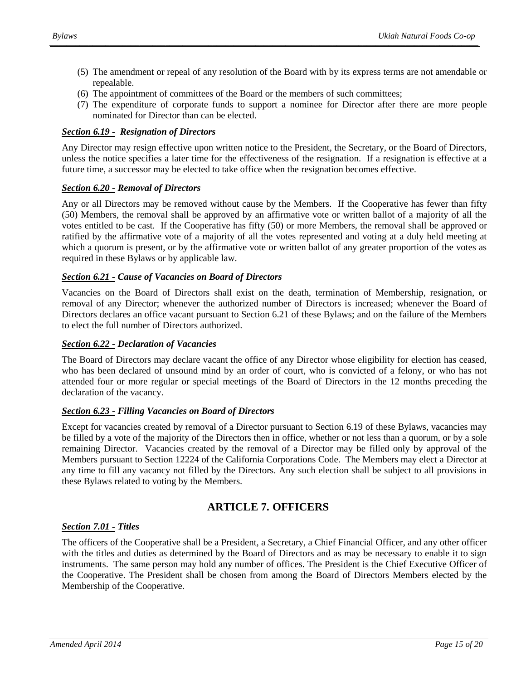- (5) The amendment or repeal of any resolution of the Board with by its express terms are not amendable or repealable.
- (6) The appointment of committees of the Board or the members of such committees;
- <span id="page-14-0"></span>(7) The expenditure of corporate funds to support a nominee for Director after there are more people nominated for Director than can be elected.

#### *Section 6.19 - Resignation of Directors*

Any Director may resign effective upon written notice to the President, the Secretary, or the Board of Directors, unless the notice specifies a later time for the effectiveness of the resignation. If a resignation is effective at a future time, a successor may be elected to take office when the resignation becomes effective.

#### <span id="page-14-1"></span>*Section 6.20 - Removal of Directors*

Any or all Directors may be removed without cause by the Members. If the Cooperative has fewer than fifty (50) Members, the removal shall be approved by an affirmative vote or written ballot of a majority of all the votes entitled to be cast. If the Cooperative has fifty (50) or more Members, the removal shall be approved or ratified by the affirmative vote of a majority of all the votes represented and voting at a duly held meeting at which a quorum is present, or by the affirmative vote or written ballot of any greater proportion of the votes as required in these Bylaws or by applicable law.

#### <span id="page-14-2"></span>*Section 6.21 - Cause of Vacancies on Board of Directors*

Vacancies on the Board of Directors shall exist on the death, termination of Membership, resignation, or removal of any Director; whenever the authorized number of Directors is increased; whenever the Board of Directors declares an office vacant pursuant to Section 6.21 of these Bylaws; and on the failure of the Members to elect the full number of Directors authorized.

#### <span id="page-14-3"></span>*Section 6.22 - Declaration of Vacancies*

The Board of Directors may declare vacant the office of any Director whose eligibility for election has ceased, who has been declared of unsound mind by an order of court, who is convicted of a felony, or who has not attended four or more regular or special meetings of the Board of Directors in the 12 months preceding the declaration of the vacancy.

#### <span id="page-14-4"></span>*Section 6.23 - Filling Vacancies on Board of Directors*

Except for vacancies created by removal of a Director pursuant to Section 6.19 of these Bylaws, vacancies may be filled by a vote of the majority of the Directors then in office, whether or not less than a quorum, or by a sole remaining Director. Vacancies created by the removal of a Director may be filled only by approval of the Members pursuant to Section 12224 of the California Corporations Code. The Members may elect a Director at any time to fill any vacancy not filled by the Directors. Any such election shall be subject to all provisions in these Bylaws related to voting by the Members.

# **ARTICLE 7. OFFICERS**

#### <span id="page-14-6"></span><span id="page-14-5"></span>*Section 7.01 - Titles*

The officers of the Cooperative shall be a President, a Secretary, a Chief Financial Officer, and any other officer with the titles and duties as determined by the Board of Directors and as may be necessary to enable it to sign instruments. The same person may hold any number of offices. The President is the Chief Executive Officer of the Cooperative. The President shall be chosen from among the Board of Directors Members elected by the Membership of the Cooperative.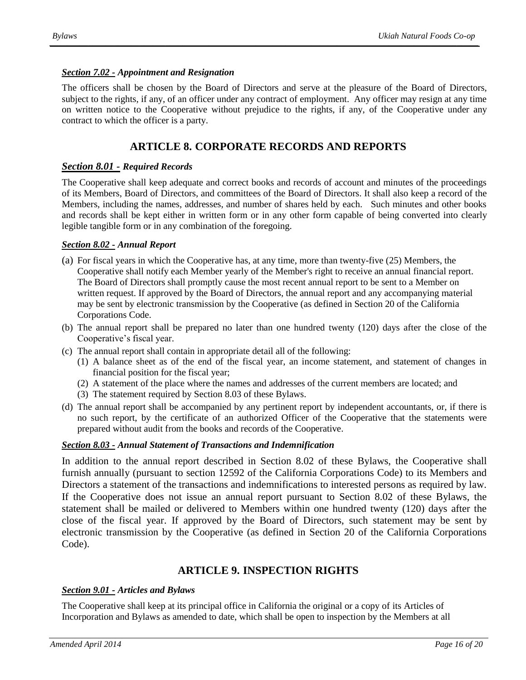#### <span id="page-15-0"></span>*Section 7.02 - Appointment and Resignation*

The officers shall be chosen by the Board of Directors and serve at the pleasure of the Board of Directors, subject to the rights, if any, of an officer under any contract of employment. Any officer may resign at any time on written notice to the Cooperative without prejudice to the rights, if any, of the Cooperative under any contract to which the officer is a party.

# **ARTICLE 8. CORPORATE RECORDS AND REPORTS**

#### <span id="page-15-2"></span><span id="page-15-1"></span>*Section 8.01 - Required Records*

The Cooperative shall keep adequate and correct books and records of account and minutes of the proceedings of its Members, Board of Directors, and committees of the Board of Directors. It shall also keep a record of the Members, including the names, addresses, and number of shares held by each. Such minutes and other books and records shall be kept either in written form or in any other form capable of being converted into clearly legible tangible form or in any combination of the foregoing.

#### <span id="page-15-3"></span>*Section 8.02 - Annual Report*

- (a) For fiscal years in which the Cooperative has, at any time, more than twenty-five (25) Members, the Cooperative shall notify each Member yearly of the Member's right to receive an annual financial report. The Board of Directors shall promptly cause the most recent annual report to be sent to a Member on written request. If approved by the Board of Directors, the annual report and any accompanying material may be sent by electronic transmission by the Cooperative (as defined in Section 20 of the California Corporations Code.
- (b) The annual report shall be prepared no later than one hundred twenty (120) days after the close of the Cooperative's fiscal year.
- (c) The annual report shall contain in appropriate detail all of the following:
	- (1) A balance sheet as of the end of the fiscal year, an income statement, and statement of changes in financial position for the fiscal year;
	- (2) A statement of the place where the names and addresses of the current members are located; and
	- (3) The statement required by Section 8.03 of these Bylaws.
- (d) The annual report shall be accompanied by any pertinent report by independent accountants, or, if there is no such report, by the certificate of an authorized Officer of the Cooperative that the statements were prepared without audit from the books and records of the Cooperative.

#### <span id="page-15-4"></span>*Section 8.03 - Annual Statement of Transactions and Indemnification*

In addition to the annual report described in Section 8.02 of these Bylaws, the Cooperative shall furnish annually (pursuant to section 12592 of the California Corporations Code) to its Members and Directors a statement of the transactions and indemnifications to interested persons as required by law. If the Cooperative does not issue an annual report pursuant to Section 8.02 of these Bylaws, the statement shall be mailed or delivered to Members within one hundred twenty (120) days after the close of the fiscal year. If approved by the Board of Directors, such statement may be sent by electronic transmission by the Cooperative (as defined in Section 20 of the California Corporations Code).

# **ARTICLE 9. INSPECTION RIGHTS**

#### <span id="page-15-6"></span><span id="page-15-5"></span>*Section 9.01 - Articles and Bylaws*

The Cooperative shall keep at its principal office in California the original or a copy of its Articles of Incorporation and Bylaws as amended to date, which shall be open to inspection by the Members at all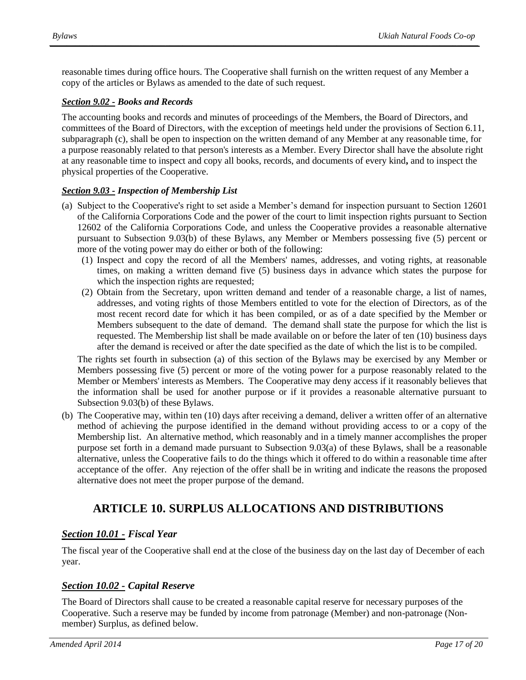reasonable times during office hours. The Cooperative shall furnish on the written request of any Member a copy of the articles or Bylaws as amended to the date of such request.

#### <span id="page-16-0"></span>*Section 9.02 - Books and Records*

The accounting books and records and minutes of proceedings of the Members, the Board of Directors, and committees of the Board of Directors, with the exception of meetings held under the provisions of Section 6.11, subparagraph (c), shall be open to inspection on the written demand of any Member at any reasonable time, for a purpose reasonably related to that person's interests as a Member. Every Director shall have the absolute right at any reasonable time to inspect and copy all books, records, and documents of every kind**,** and to inspect the physical properties of the Cooperative.

#### <span id="page-16-1"></span>*Section 9.03 - Inspection of Membership List*

- (a) Subject to the Cooperative's right to set aside a Member's demand for inspection pursuant to Section 12601 of the California Corporations Code and the power of the court to limit inspection rights pursuant to Section 12602 of the California Corporations Code, and unless the Cooperative provides a reasonable alternative pursuant to Subsection 9.03(b) of these Bylaws, any Member or Members possessing five (5) percent or more of the voting power may do either or both of the following:
	- (1) Inspect and copy the record of all the Members' names, addresses, and voting rights, at reasonable times, on making a written demand five (5) business days in advance which states the purpose for which the inspection rights are requested;
	- (2) Obtain from the Secretary, upon written demand and tender of a reasonable charge, a list of names, addresses, and voting rights of those Members entitled to vote for the election of Directors, as of the most recent record date for which it has been compiled, or as of a date specified by the Member or Members subsequent to the date of demand. The demand shall state the purpose for which the list is requested. The Membership list shall be made available on or before the later of ten (10) business days after the demand is received or after the date specified as the date of which the list is to be compiled.

The rights set fourth in subsection (a) of this section of the Bylaws may be exercised by any Member or Members possessing five (5) percent or more of the voting power for a purpose reasonably related to the Member or Members' interests as Members. The Cooperative may deny access if it reasonably believes that the information shall be used for another purpose or if it provides a reasonable alternative pursuant to Subsection 9.03(b) of these Bylaws.

(b) The Cooperative may, within ten (10) days after receiving a demand, deliver a written offer of an alternative method of achieving the purpose identified in the demand without providing access to or a copy of the Membership list. An alternative method, which reasonably and in a timely manner accomplishes the proper purpose set forth in a demand made pursuant to Subsection 9.03(a) of these Bylaws, shall be a reasonable alternative, unless the Cooperative fails to do the things which it offered to do within a reasonable time after acceptance of the offer. Any rejection of the offer shall be in writing and indicate the reasons the proposed alternative does not meet the proper purpose of the demand.

# <span id="page-16-2"></span>**ARTICLE 10. SURPLUS ALLOCATIONS AND DISTRIBUTIONS**

# <span id="page-16-3"></span>*Section 10.01 - Fiscal Year*

The fiscal year of the Cooperative shall end at the close of the business day on the last day of December of each year.

# <span id="page-16-4"></span>*Section 10.02 - Capital Reserve*

The Board of Directors shall cause to be created a reasonable capital reserve for necessary purposes of the Cooperative. Such a reserve may be funded by income from patronage (Member) and non-patronage (Nonmember) Surplus, as defined below.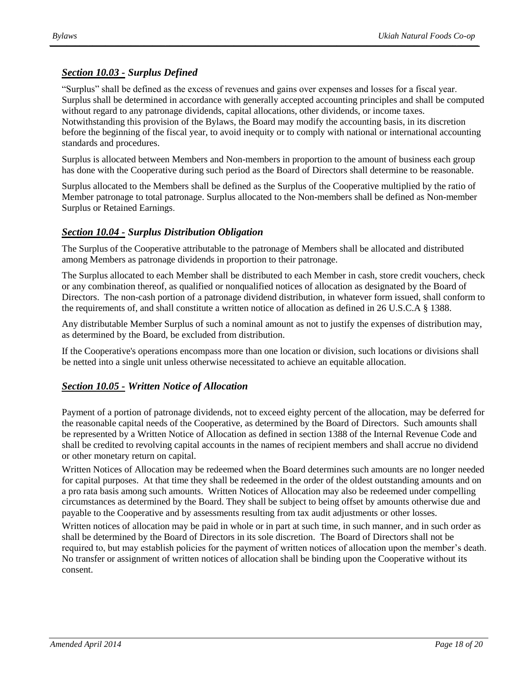# <span id="page-17-0"></span>*Section 10.03 - Surplus Defined*

"Surplus" shall be defined as the excess of revenues and gains over expenses and losses for a fiscal year. Surplus shall be determined in accordance with generally accepted accounting principles and shall be computed without regard to any patronage dividends, capital allocations, other dividends, or income taxes. Notwithstanding this provision of the Bylaws, the Board may modify the accounting basis, in its discretion before the beginning of the fiscal year, to avoid inequity or to comply with national or international accounting standards and procedures.

Surplus is allocated between Members and Non-members in proportion to the amount of business each group has done with the Cooperative during such period as the Board of Directors shall determine to be reasonable.

Surplus allocated to the Members shall be defined as the Surplus of the Cooperative multiplied by the ratio of Member patronage to total patronage. Surplus allocated to the Non-members shall be defined as Non-member Surplus or Retained Earnings.

# <span id="page-17-1"></span>*Section 10.04 - Surplus Distribution Obligation*

The Surplus of the Cooperative attributable to the patronage of Members shall be allocated and distributed among Members as patronage dividends in proportion to their patronage.

The Surplus allocated to each Member shall be distributed to each Member in cash, store credit vouchers, check or any combination thereof, as qualified or nonqualified notices of allocation as designated by the Board of Directors. The non-cash portion of a patronage dividend distribution, in whatever form issued, shall conform to the requirements of, and shall constitute a written notice of allocation as defined in 26 U.S.C.A § 1388.

Any distributable Member Surplus of such a nominal amount as not to justify the expenses of distribution may, as determined by the Board, be excluded from distribution.

If the Cooperative's operations encompass more than one location or division, such locations or divisions shall be netted into a single unit unless otherwise necessitated to achieve an equitable allocation.

# <span id="page-17-2"></span>*Section 10.05 - Written Notice of Allocation*

Payment of a portion of patronage dividends, not to exceed eighty percent of the allocation, may be deferred for the reasonable capital needs of the Cooperative, as determined by the Board of Directors. Such amounts shall be represented by a Written Notice of Allocation as defined in section 1388 of the Internal Revenue Code and shall be credited to revolving capital accounts in the names of recipient members and shall accrue no dividend or other monetary return on capital.

Written Notices of Allocation may be redeemed when the Board determines such amounts are no longer needed for capital purposes. At that time they shall be redeemed in the order of the oldest outstanding amounts and on a pro rata basis among such amounts. Written Notices of Allocation may also be redeemed under compelling circumstances as determined by the Board. They shall be subject to being offset by amounts otherwise due and payable to the Cooperative and by assessments resulting from tax audit adjustments or other losses.

Written notices of allocation may be paid in whole or in part at such time, in such manner, and in such order as shall be determined by the Board of Directors in its sole discretion. The Board of Directors shall not be required to, but may establish policies for the payment of written notices of allocation upon the member's death. No transfer or assignment of written notices of allocation shall be binding upon the Cooperative without its consent.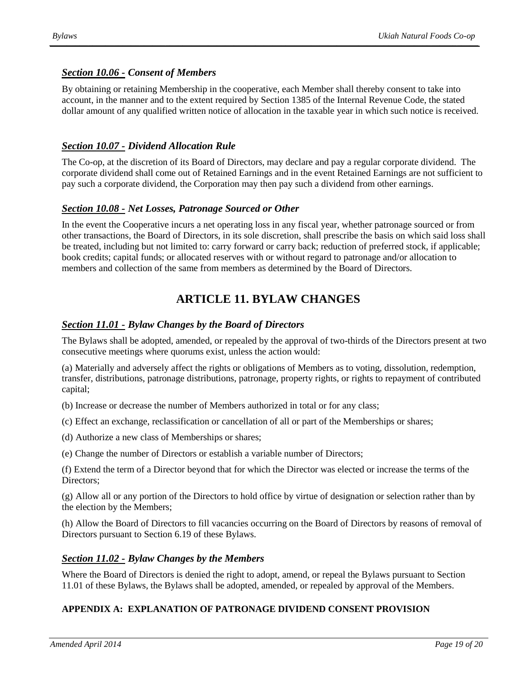# <span id="page-18-0"></span>*Section 10.06 - Consent of Members*

By obtaining or retaining Membership in the cooperative, each Member shall thereby consent to take into account, in the manner and to the extent required by Section 1385 of the Internal Revenue Code, the stated dollar amount of any qualified written notice of allocation in the taxable year in which such notice is received.

# <span id="page-18-1"></span>*Section 10.07 - Dividend Allocation Rule*

The Co-op, at the discretion of its Board of Directors, may declare and pay a regular corporate dividend. The corporate dividend shall come out of Retained Earnings and in the event Retained Earnings are not sufficient to pay such a corporate dividend, the Corporation may then pay such a dividend from other earnings.

# <span id="page-18-2"></span>*Section 10.08 - Net Losses, Patronage Sourced or Other*

In the event the Cooperative incurs a net operating loss in any fiscal year, whether patronage sourced or from other transactions, the Board of Directors, in its sole discretion, shall prescribe the basis on which said loss shall be treated, including but not limited to: carry forward or carry back; reduction of preferred stock, if applicable; book credits; capital funds; or allocated reserves with or without regard to patronage and/or allocation to members and collection of the same from members as determined by the Board of Directors.

# **ARTICLE 11. BYLAW CHANGES**

# <span id="page-18-4"></span><span id="page-18-3"></span>*Section 11.01 - Bylaw Changes by the Board of Directors*

The Bylaws shall be adopted, amended, or repealed by the approval of two-thirds of the Directors present at two consecutive meetings where quorums exist, unless the action would:

(a) Materially and adversely affect the rights or obligations of Members as to voting, dissolution, redemption, transfer, distributions, patronage distributions, patronage, property rights, or rights to repayment of contributed capital;

(b) Increase or decrease the number of Members authorized in total or for any class;

(c) Effect an exchange, reclassification or cancellation of all or part of the Memberships or shares;

(d) Authorize a new class of Memberships or shares;

(e) Change the number of Directors or establish a variable number of Directors;

(f) Extend the term of a Director beyond that for which the Director was elected or increase the terms of the Directors;

(g) Allow all or any portion of the Directors to hold office by virtue of designation or selection rather than by the election by the Members;

(h) Allow the Board of Directors to fill vacancies occurring on the Board of Directors by reasons of removal of Directors pursuant to Section 6.19 of these Bylaws.

#### <span id="page-18-5"></span>*Section 11.02 - Bylaw Changes by the Members*

Where the Board of Directors is denied the right to adopt, amend, or repeal the Bylaws pursuant to Section 11.01 of these Bylaws, the Bylaws shall be adopted, amended, or repealed by approval of the Members.

# **APPENDIX A: EXPLANATION OF PATRONAGE DIVIDEND CONSENT PROVISION**